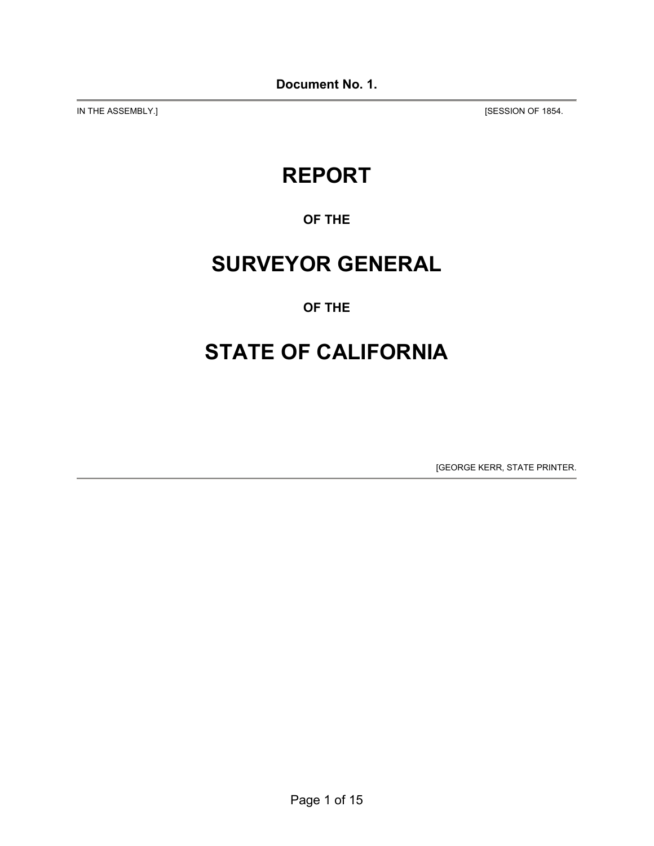IN THE ASSEMBLY.] **[SESSION OF 1854.** 

# **REPORT**

**OF THE** 

# **SURVEYOR GENERAL**

## **OF THE**

# **STATE OF CALIFORNIA**

[GEORGE KERR, STATE PRINTER.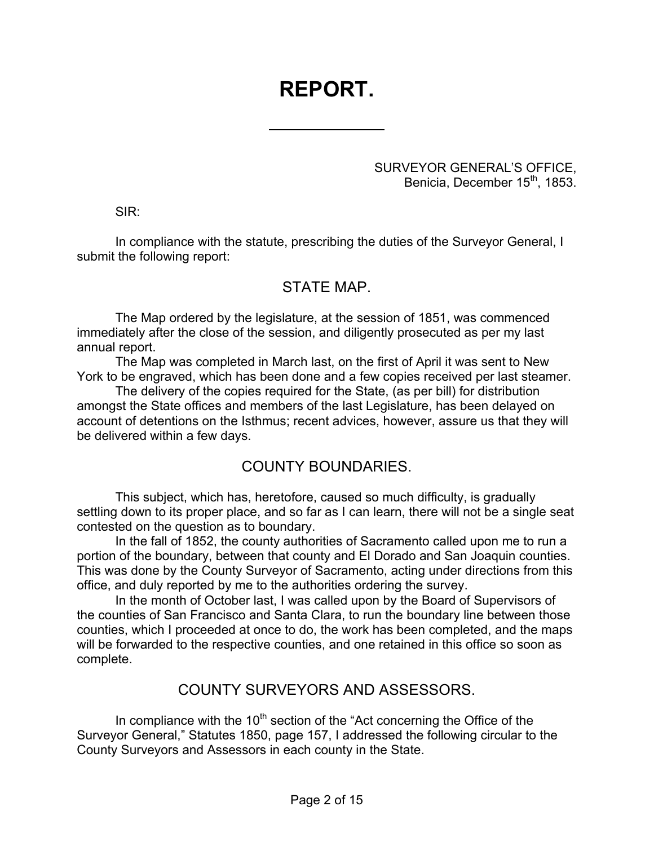# **REPORT.**

 $\overline{a}$ 

SURVEYOR GENERAL'S OFFICE, Benicia, December 15<sup>th</sup>, 1853.

SIR:

In compliance with the statute, prescribing the duties of the Surveyor General, I submit the following report:

## STATE MAP.

The Map ordered by the legislature, at the session of 1851, was commenced immediately after the close of the session, and diligently prosecuted as per my last annual report.

The Map was completed in March last, on the first of April it was sent to New York to be engraved, which has been done and a few copies received per last steamer.

The delivery of the copies required for the State, (as per bill) for distribution amongst the State offices and members of the last Legislature, has been delayed on account of detentions on the Isthmus; recent advices, however, assure us that they will be delivered within a few days.

## COUNTY BOUNDARIES.

This subject, which has, heretofore, caused so much difficulty, is gradually settling down to its proper place, and so far as I can learn, there will not be a single seat contested on the question as to boundary.

In the fall of 1852, the county authorities of Sacramento called upon me to run a portion of the boundary, between that county and El Dorado and San Joaquin counties. This was done by the County Surveyor of Sacramento, acting under directions from this office, and duly reported by me to the authorities ordering the survey.

In the month of October last, I was called upon by the Board of Supervisors of the counties of San Francisco and Santa Clara, to run the boundary line between those counties, which I proceeded at once to do, the work has been completed, and the maps will be forwarded to the respective counties, and one retained in this office so soon as complete.

## COUNTY SURVEYORS AND ASSESSORS.

In compliance with the  $10<sup>th</sup>$  section of the "Act concerning the Office of the Surveyor General," Statutes 1850, page 157, I addressed the following circular to the County Surveyors and Assessors in each county in the State.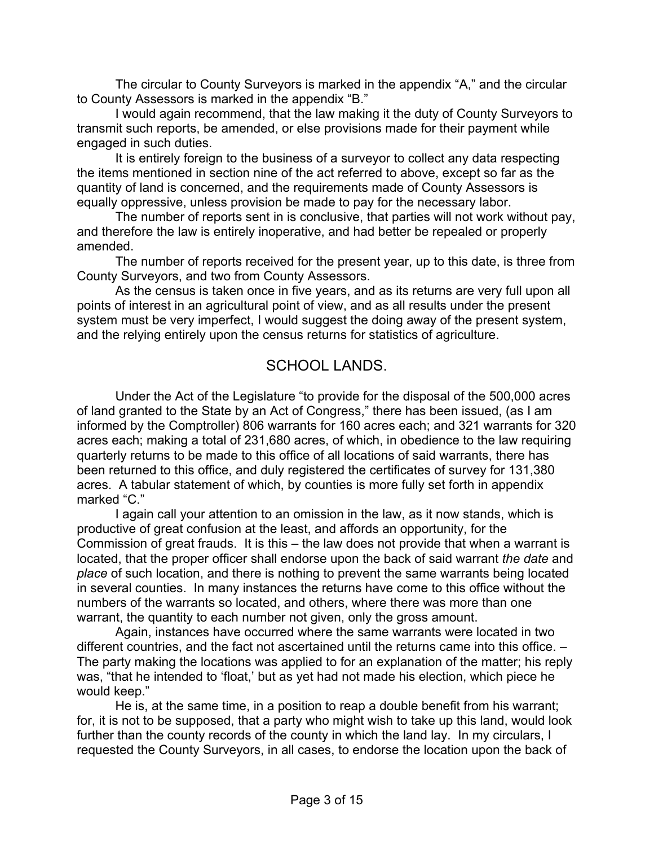The circular to County Surveyors is marked in the appendix "A," and the circular to County Assessors is marked in the appendix "B."

I would again recommend, that the law making it the duty of County Surveyors to transmit such reports, be amended, or else provisions made for their payment while engaged in such duties.

It is entirely foreign to the business of a surveyor to collect any data respecting the items mentioned in section nine of the act referred to above, except so far as the quantity of land is concerned, and the requirements made of County Assessors is equally oppressive, unless provision be made to pay for the necessary labor.

The number of reports sent in is conclusive, that parties will not work without pay, and therefore the law is entirely inoperative, and had better be repealed or properly amended.

The number of reports received for the present year, up to this date, is three from County Surveyors, and two from County Assessors.

As the census is taken once in five years, and as its returns are very full upon all points of interest in an agricultural point of view, and as all results under the present system must be very imperfect, I would suggest the doing away of the present system, and the relying entirely upon the census returns for statistics of agriculture.

## SCHOOL LANDS.

Under the Act of the Legislature "to provide for the disposal of the 500,000 acres of land granted to the State by an Act of Congress," there has been issued, (as I am informed by the Comptroller) 806 warrants for 160 acres each; and 321 warrants for 320 acres each; making a total of 231,680 acres, of which, in obedience to the law requiring quarterly returns to be made to this office of all locations of said warrants, there has been returned to this office, and duly registered the certificates of survey for 131,380 acres. A tabular statement of which, by counties is more fully set forth in appendix marked "C."

I again call your attention to an omission in the law, as it now stands, which is productive of great confusion at the least, and affords an opportunity, for the Commission of great frauds. It is this – the law does not provide that when a warrant is located, that the proper officer shall endorse upon the back of said warrant *the date* and *place* of such location, and there is nothing to prevent the same warrants being located in several counties. In many instances the returns have come to this office without the numbers of the warrants so located, and others, where there was more than one warrant, the quantity to each number not given, only the gross amount.

Again, instances have occurred where the same warrants were located in two different countries, and the fact not ascertained until the returns came into this office. – The party making the locations was applied to for an explanation of the matter; his reply was, "that he intended to 'float,' but as yet had not made his election, which piece he would keep."

He is, at the same time, in a position to reap a double benefit from his warrant; for, it is not to be supposed, that a party who might wish to take up this land, would look further than the county records of the county in which the land lay. In my circulars, I requested the County Surveyors, in all cases, to endorse the location upon the back of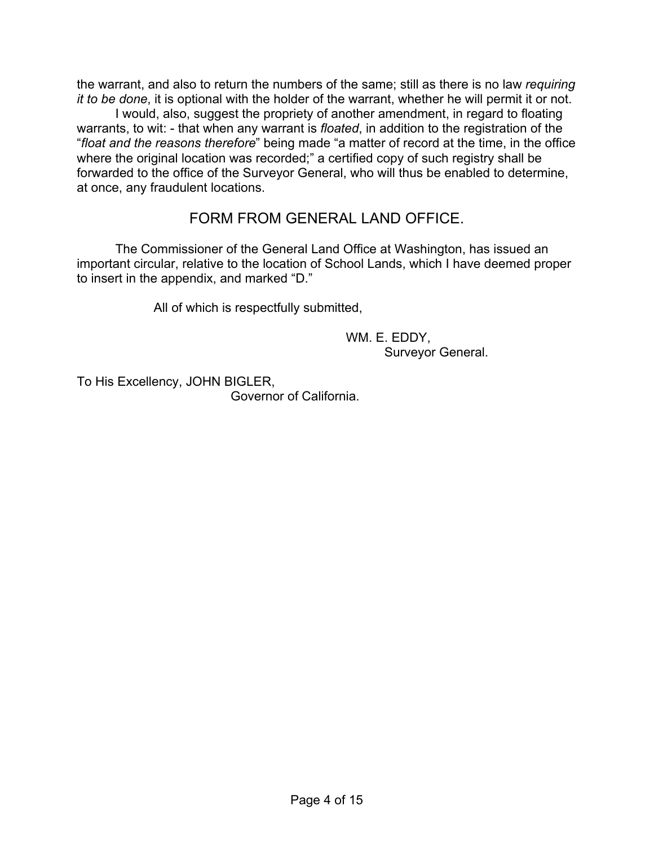the warrant, and also to return the numbers of the same; still as there is no law *requiring it to be done*, it is optional with the holder of the warrant, whether he will permit it or not.

I would, also, suggest the propriety of another amendment, in regard to floating warrants, to wit: - that when any warrant is *floated*, in addition to the registration of the "*float and the reasons therefore*" being made "a matter of record at the time, in the office where the original location was recorded;" a certified copy of such registry shall be forwarded to the office of the Surveyor General, who will thus be enabled to determine, at once, any fraudulent locations.

### FORM FROM GENERAL LAND OFFICE.

The Commissioner of the General Land Office at Washington, has issued an important circular, relative to the location of School Lands, which I have deemed proper to insert in the appendix, and marked "D."

All of which is respectfully submitted,

 WM. E. EDDY, Surveyor General.

To His Excellency, JOHN BIGLER,

Governor of California.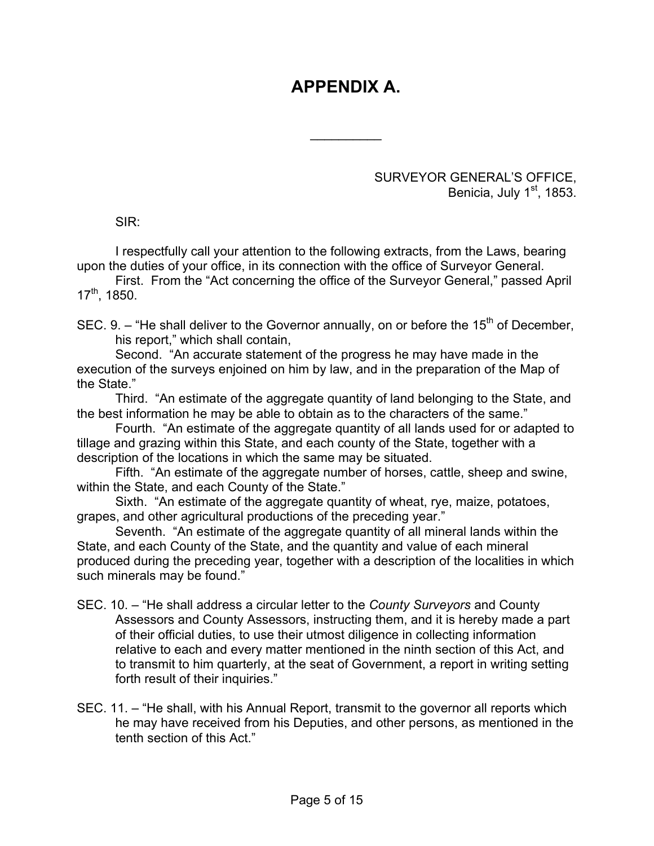# **APPENDIX A.**

 $\frac{1}{2}$ 

SURVEYOR GENERAL'S OFFICE, Benicia, July 1<sup>st</sup>, 1853.

SIR:

I respectfully call your attention to the following extracts, from the Laws, bearing upon the duties of your office, in its connection with the office of Surveyor General.

First. From the "Act concerning the office of the Surveyor General," passed April  $17^{th}$ , 1850.

SEC. 9. – "He shall deliver to the Governor annually, on or before the  $15<sup>th</sup>$  of December. his report," which shall contain,

Second. "An accurate statement of the progress he may have made in the execution of the surveys enjoined on him by law, and in the preparation of the Map of the State."

Third. "An estimate of the aggregate quantity of land belonging to the State, and the best information he may be able to obtain as to the characters of the same."

Fourth. "An estimate of the aggregate quantity of all lands used for or adapted to tillage and grazing within this State, and each county of the State, together with a description of the locations in which the same may be situated.

Fifth. "An estimate of the aggregate number of horses, cattle, sheep and swine, within the State, and each County of the State."

Sixth. "An estimate of the aggregate quantity of wheat, rye, maize, potatoes, grapes, and other agricultural productions of the preceding year."

Seventh. "An estimate of the aggregate quantity of all mineral lands within the State, and each County of the State, and the quantity and value of each mineral produced during the preceding year, together with a description of the localities in which such minerals may be found."

- SEC. 10. "He shall address a circular letter to the *County Surveyors* and County Assessors and County Assessors, instructing them, and it is hereby made a part of their official duties, to use their utmost diligence in collecting information relative to each and every matter mentioned in the ninth section of this Act, and to transmit to him quarterly, at the seat of Government, a report in writing setting forth result of their inquiries."
- SEC. 11. "He shall, with his Annual Report, transmit to the governor all reports which he may have received from his Deputies, and other persons, as mentioned in the tenth section of this Act."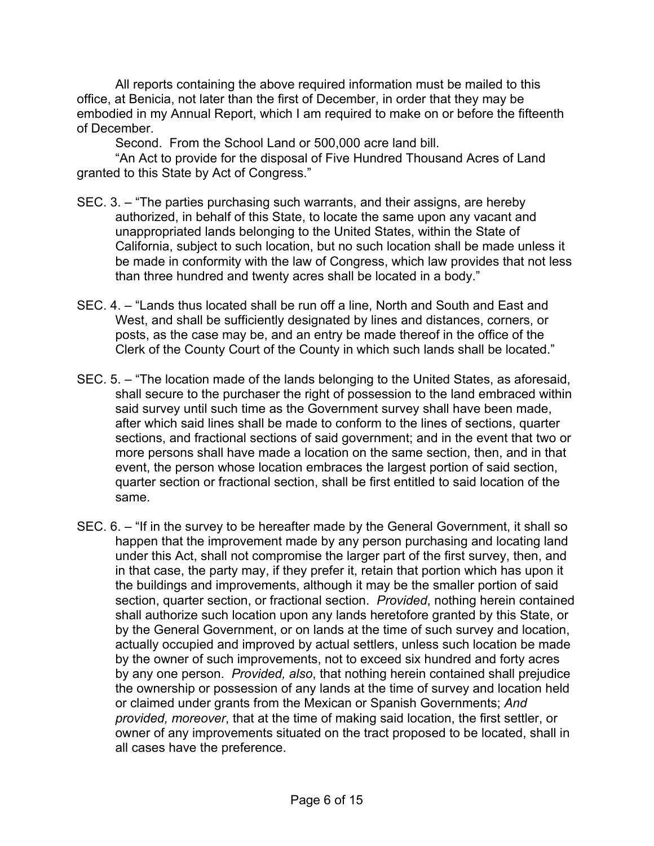All reports containing the above required information must be mailed to this office, at Benicia, not later than the first of December, in order that they may be embodied in my Annual Report, which I am required to make on or before the fifteenth of December.

Second. From the School Land or 500,000 acre land bill.

"An Act to provide for the disposal of Five Hundred Thousand Acres of Land granted to this State by Act of Congress."

- SEC. 3. "The parties purchasing such warrants, and their assigns, are hereby authorized, in behalf of this State, to locate the same upon any vacant and unappropriated lands belonging to the United States, within the State of California, subject to such location, but no such location shall be made unless it be made in conformity with the law of Congress, which law provides that not less than three hundred and twenty acres shall be located in a body."
- SEC. 4. "Lands thus located shall be run off a line, North and South and East and West, and shall be sufficiently designated by lines and distances, corners, or posts, as the case may be, and an entry be made thereof in the office of the Clerk of the County Court of the County in which such lands shall be located."
- SEC. 5. "The location made of the lands belonging to the United States, as aforesaid, shall secure to the purchaser the right of possession to the land embraced within said survey until such time as the Government survey shall have been made, after which said lines shall be made to conform to the lines of sections, quarter sections, and fractional sections of said government; and in the event that two or more persons shall have made a location on the same section, then, and in that event, the person whose location embraces the largest portion of said section, quarter section or fractional section, shall be first entitled to said location of the same.
- SEC. 6. "If in the survey to be hereafter made by the General Government, it shall so happen that the improvement made by any person purchasing and locating land under this Act, shall not compromise the larger part of the first survey, then, and in that case, the party may, if they prefer it, retain that portion which has upon it the buildings and improvements, although it may be the smaller portion of said section, quarter section, or fractional section. *Provided*, nothing herein contained shall authorize such location upon any lands heretofore granted by this State, or by the General Government, or on lands at the time of such survey and location, actually occupied and improved by actual settlers, unless such location be made by the owner of such improvements, not to exceed six hundred and forty acres by any one person. *Provided, also*, that nothing herein contained shall prejudice the ownership or possession of any lands at the time of survey and location held or claimed under grants from the Mexican or Spanish Governments; *And provided, moreover*, that at the time of making said location, the first settler, or owner of any improvements situated on the tract proposed to be located, shall in all cases have the preference.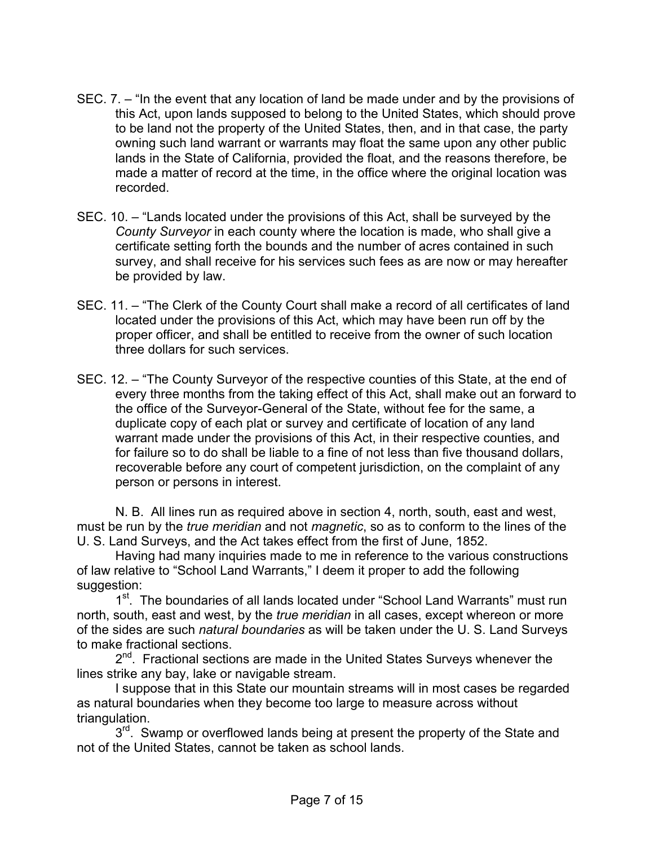- SEC. 7. "In the event that any location of land be made under and by the provisions of this Act, upon lands supposed to belong to the United States, which should prove to be land not the property of the United States, then, and in that case, the party owning such land warrant or warrants may float the same upon any other public lands in the State of California, provided the float, and the reasons therefore, be made a matter of record at the time, in the office where the original location was recorded.
- SEC. 10. "Lands located under the provisions of this Act, shall be surveyed by the *County Surveyor* in each county where the location is made, who shall give a certificate setting forth the bounds and the number of acres contained in such survey, and shall receive for his services such fees as are now or may hereafter be provided by law.
- SEC. 11. "The Clerk of the County Court shall make a record of all certificates of land located under the provisions of this Act, which may have been run off by the proper officer, and shall be entitled to receive from the owner of such location three dollars for such services.
- SEC. 12. "The County Surveyor of the respective counties of this State, at the end of every three months from the taking effect of this Act, shall make out an forward to the office of the Surveyor-General of the State, without fee for the same, a duplicate copy of each plat or survey and certificate of location of any land warrant made under the provisions of this Act, in their respective counties, and for failure so to do shall be liable to a fine of not less than five thousand dollars, recoverable before any court of competent jurisdiction, on the complaint of any person or persons in interest.

N. B. All lines run as required above in section 4, north, south, east and west, must be run by the *true meridian* and not *magnetic*, so as to conform to the lines of the U. S. Land Surveys, and the Act takes effect from the first of June, 1852.

Having had many inquiries made to me in reference to the various constructions of law relative to "School Land Warrants," I deem it proper to add the following suggestion:

1<sup>st</sup>. The boundaries of all lands located under "School Land Warrants" must run north, south, east and west, by the *true meridian* in all cases, except whereon or more of the sides are such *natural boundaries* as will be taken under the U. S. Land Surveys to make fractional sections.

 $2<sup>nd</sup>$ . Fractional sections are made in the United States Surveys whenever the lines strike any bay, lake or navigable stream.

I suppose that in this State our mountain streams will in most cases be regarded as natural boundaries when they become too large to measure across without triangulation.

3<sup>rd</sup>. Swamp or overflowed lands being at present the property of the State and not of the United States, cannot be taken as school lands.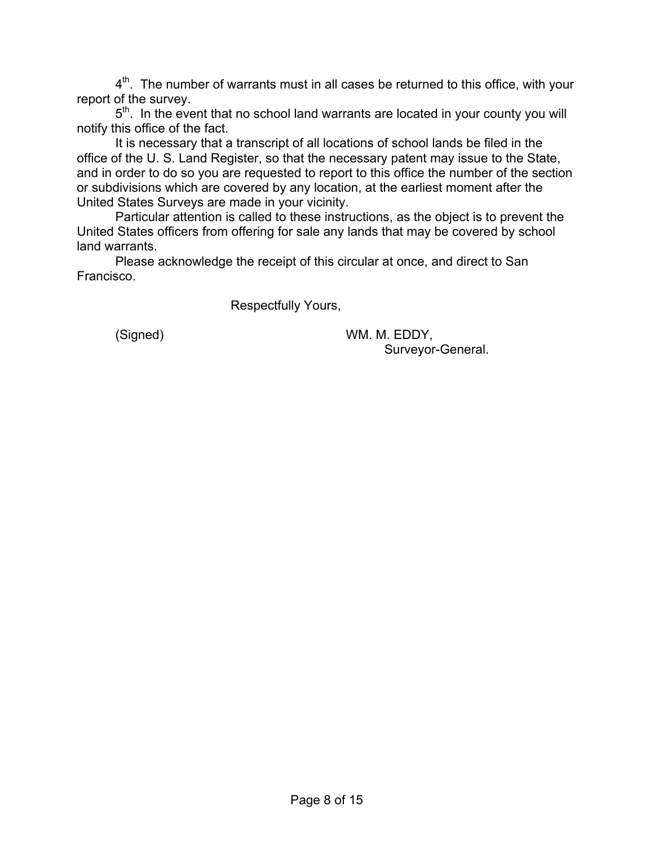$4<sup>th</sup>$ . The number of warrants must in all cases be returned to this office, with your report of the survey.

 $5<sup>th</sup>$ . In the event that no school land warrants are located in your county you will notify this office of the fact.

It is necessary that a transcript of all locations of school lands be filed in the office of the U. S. Land Register, so that the necessary patent may issue to the State, and in order to do so you are requested to report to this office the number of the section or subdivisions which are covered by any location, at the earliest moment after the United States Surveys are made in your vicinity.

Particular attention is called to these instructions, as the object is to prevent the United States officers from offering for sale any lands that may be covered by school land warrants.

Please acknowledge the receipt of this circular at once, and direct to San Francisco.

Respectfully Yours,

(Signed) WM. M. EDDY, Surveyor-General.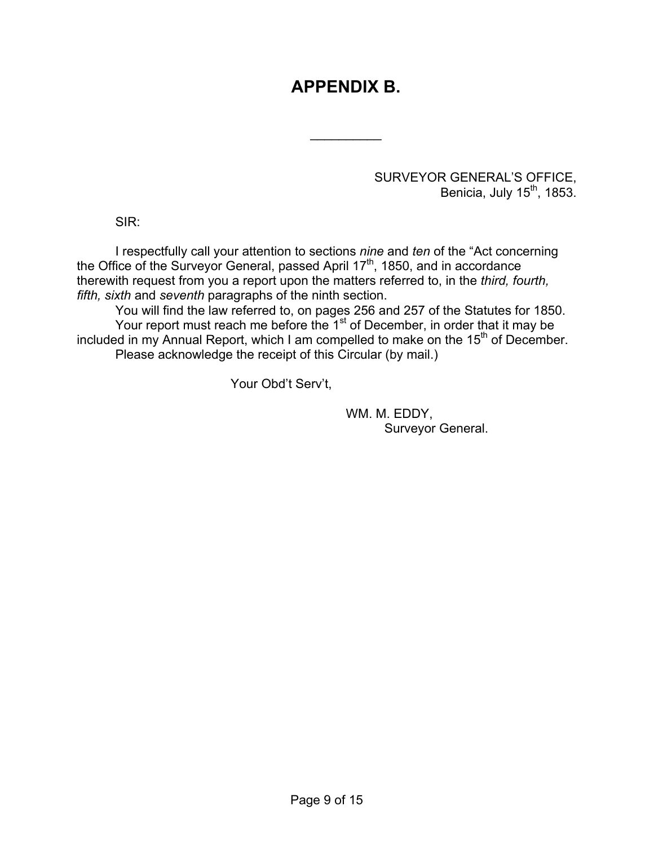# **APPENDIX B.**

 $\frac{1}{2}$ 

#### SURVEYOR GENERAL'S OFFICE, Benicia, July  $15^{th}$ , 1853.

SIR:

I respectfully call your attention to sections *nine* and *ten* of the "Act concerning the Office of the Surveyor General, passed April 17<sup>th</sup>, 1850, and in accordance therewith request from you a report upon the matters referred to, in the *third, fourth, fifth, sixth* and *seventh* paragraphs of the ninth section.

You will find the law referred to, on pages 256 and 257 of the Statutes for 1850. Your report must reach me before the  $1<sup>st</sup>$  of December, in order that it may be included in my Annual Report, which I am compelled to make on the  $15<sup>th</sup>$  of December. Please acknowledge the receipt of this Circular (by mail.)

Your Obd't Serv't,

 WM. M. EDDY, Surveyor General.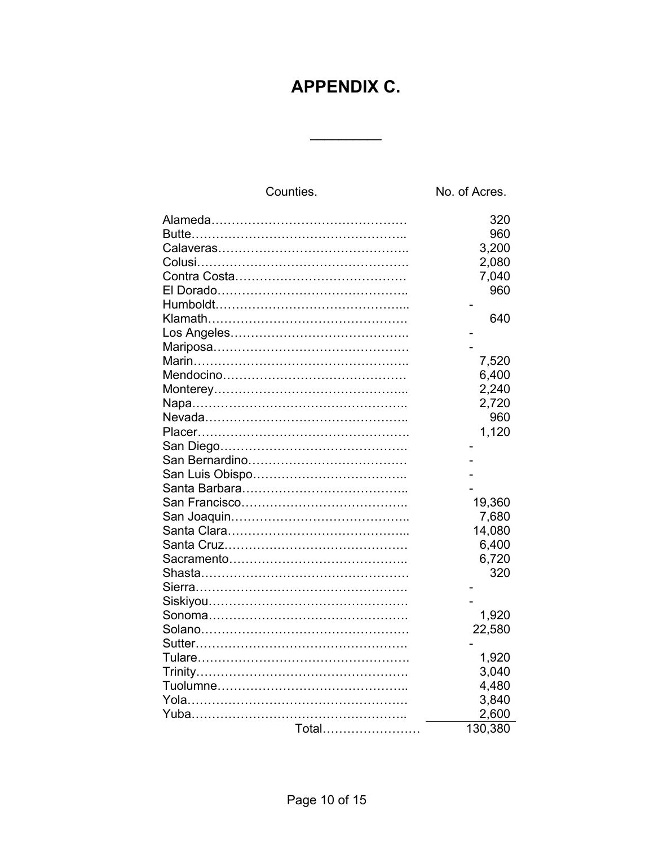# **APPENDIX C.**

 $\frac{1}{2}$ 

| Counties. | No. of Acres. |
|-----------|---------------|
|           | 320           |
|           | 960           |
|           | 3,200         |
|           | 2,080         |
|           | 7,040         |
|           | 960           |
|           |               |
|           | 640           |
|           |               |
|           |               |
|           | 7,520         |
|           | 6,400         |
|           | 2,240         |
|           | 2,720         |
|           | 960           |
|           | 1,120         |
|           |               |
|           |               |
|           |               |
|           |               |
|           | 19,360        |
|           | 7,680         |
|           | 14,080        |
|           | 6,400         |
|           | 6,720         |
|           | 320           |
|           |               |
|           |               |
|           | 1,920         |
|           | 22,580        |
|           |               |
|           | 1,920         |
|           | 3,040         |
|           | 4,480         |
|           | 3,840         |
|           | 2,600         |
| Total     | 130,380       |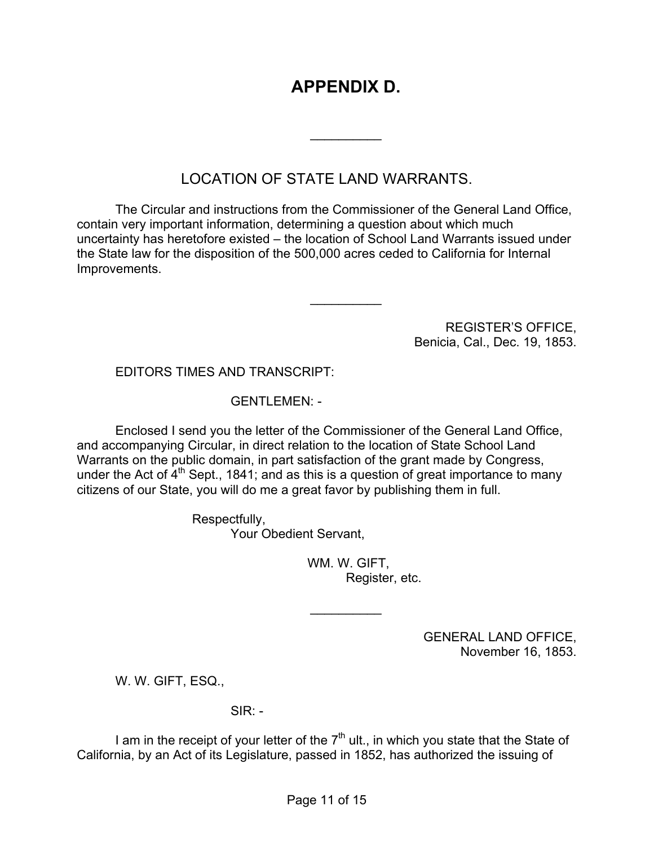# **APPENDIX D.**

 $\frac{1}{2}$ 

 $\frac{1}{2}$ 

## LOCATION OF STATE LAND WARRANTS.

The Circular and instructions from the Commissioner of the General Land Office, contain very important information, determining a question about which much uncertainty has heretofore existed – the location of School Land Warrants issued under the State law for the disposition of the 500,000 acres ceded to California for Internal Improvements.

> REGISTER'S OFFICE, Benicia, Cal., Dec. 19, 1853.

#### EDITORS TIMES AND TRANSCRIPT:

#### GENTLEMEN: -

Enclosed I send you the letter of the Commissioner of the General Land Office, and accompanying Circular, in direct relation to the location of State School Land Warrants on the public domain, in part satisfaction of the grant made by Congress, under the Act of  $4<sup>th</sup>$  Sept., 1841; and as this is a question of great importance to many citizens of our State, you will do me a great favor by publishing them in full.

> Respectfully, Your Obedient Servant,

> > WM. W. GIFT, Register, etc.

 $\frac{1}{2}$ 

GENERAL LAND OFFICE, November 16, 1853.

W. W. GIFT, ESQ.,

 $SIR: -$ 

I am in the receipt of your letter of the  $7<sup>th</sup>$  ult., in which you state that the State of California, by an Act of its Legislature, passed in 1852, has authorized the issuing of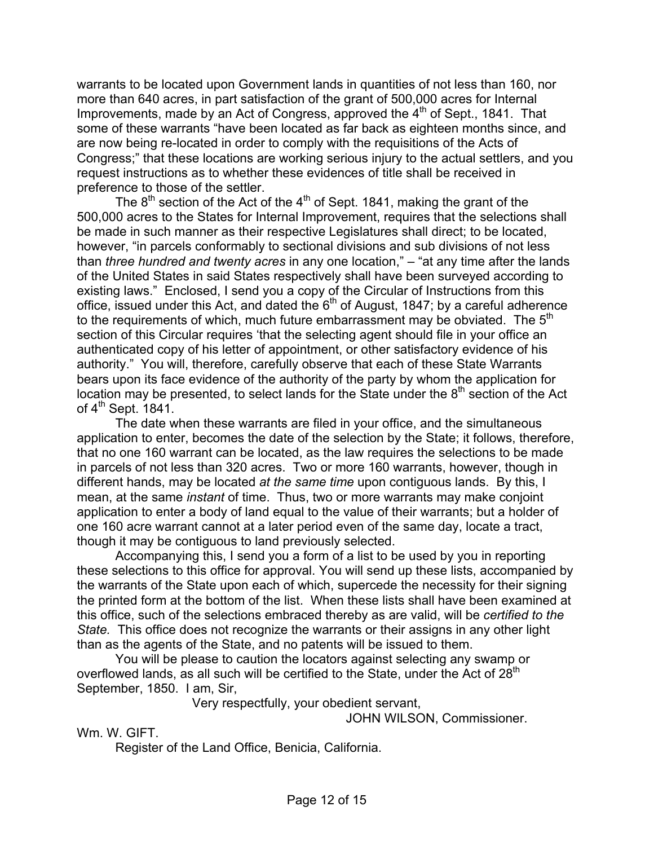warrants to be located upon Government lands in quantities of not less than 160, nor more than 640 acres, in part satisfaction of the grant of 500,000 acres for Internal Improvements, made by an Act of Congress, approved the  $4<sup>th</sup>$  of Sept., 1841. That some of these warrants "have been located as far back as eighteen months since, and are now being re-located in order to comply with the requisitions of the Acts of Congress;" that these locations are working serious injury to the actual settlers, and you request instructions as to whether these evidences of title shall be received in preference to those of the settler.

The  $8<sup>th</sup>$  section of the Act of the  $4<sup>th</sup>$  of Sept. 1841, making the grant of the 500,000 acres to the States for Internal Improvement, requires that the selections shall be made in such manner as their respective Legislatures shall direct; to be located, however, "in parcels conformably to sectional divisions and sub divisions of not less than *three hundred and twenty acres* in any one location," – "at any time after the lands of the United States in said States respectively shall have been surveyed according to existing laws." Enclosed, I send you a copy of the Circular of Instructions from this office, issued under this Act, and dated the  $6<sup>th</sup>$  of August, 1847; by a careful adherence to the requirements of which, much future embarrassment may be obviated. The  $5<sup>th</sup>$ section of this Circular requires 'that the selecting agent should file in your office an authenticated copy of his letter of appointment, or other satisfactory evidence of his authority." You will, therefore, carefully observe that each of these State Warrants bears upon its face evidence of the authority of the party by whom the application for location may be presented, to select lands for the State under the  $8<sup>th</sup>$  section of the Act of  $4^{\text{th}}$  Sept. 1841.

The date when these warrants are filed in your office, and the simultaneous application to enter, becomes the date of the selection by the State; it follows, therefore, that no one 160 warrant can be located, as the law requires the selections to be made in parcels of not less than 320 acres. Two or more 160 warrants, however, though in different hands, may be located *at the same time* upon contiguous lands. By this, I mean, at the same *instant* of time. Thus, two or more warrants may make conjoint application to enter a body of land equal to the value of their warrants; but a holder of one 160 acre warrant cannot at a later period even of the same day, locate a tract, though it may be contiguous to land previously selected.

Accompanying this, I send you a form of a list to be used by you in reporting these selections to this office for approval. You will send up these lists, accompanied by the warrants of the State upon each of which, supercede the necessity for their signing the printed form at the bottom of the list. When these lists shall have been examined at this office, such of the selections embraced thereby as are valid, will be *certified to the State.* This office does not recognize the warrants or their assigns in any other light than as the agents of the State, and no patents will be issued to them.

You will be please to caution the locators against selecting any swamp or overflowed lands, as all such will be certified to the State, under the Act of  $28<sup>th</sup>$ September, 1850. I am, Sir,

Very respectfully, your obedient servant,

JOHN WILSON, Commissioner.

Wm. W. GIFT.

Register of the Land Office, Benicia, California.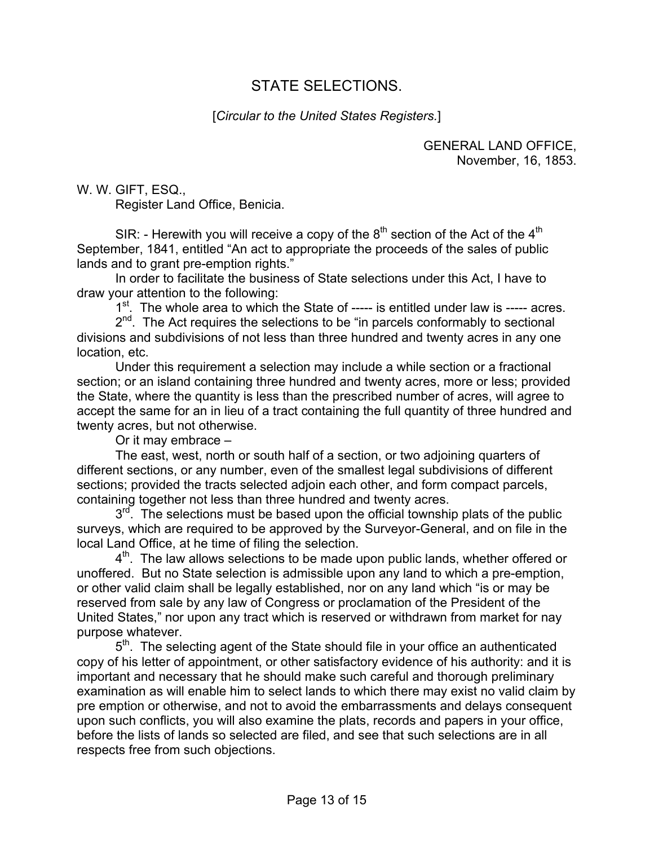## STATE SELECTIONS.

#### [*Circular to the United States Registers.*]

GENERAL LAND OFFICE, November, 16, 1853.

W. W. GIFT, ESQ.,

Register Land Office, Benicia.

SIR: - Herewith you will receive a copy of the  $8<sup>th</sup>$  section of the Act of the  $4<sup>th</sup>$ September, 1841, entitled "An act to appropriate the proceeds of the sales of public lands and to grant pre-emption rights."

In order to facilitate the business of State selections under this Act, I have to draw your attention to the following:

1<sup>st</sup>. The whole area to which the State of ----- is entitled under law is ----- acres.

2<sup>nd</sup>. The Act requires the selections to be "in parcels conformably to sectional divisions and subdivisions of not less than three hundred and twenty acres in any one location, etc.

Under this requirement a selection may include a while section or a fractional section; or an island containing three hundred and twenty acres, more or less; provided the State, where the quantity is less than the prescribed number of acres, will agree to accept the same for an in lieu of a tract containing the full quantity of three hundred and twenty acres, but not otherwise.

Or it may embrace –

The east, west, north or south half of a section, or two adjoining quarters of different sections, or any number, even of the smallest legal subdivisions of different sections; provided the tracts selected adjoin each other, and form compact parcels, containing together not less than three hundred and twenty acres.

 $3<sup>rd</sup>$ . The selections must be based upon the official township plats of the public surveys, which are required to be approved by the Surveyor-General, and on file in the local Land Office, at he time of filing the selection.

4<sup>th</sup>. The law allows selections to be made upon public lands, whether offered or unoffered. But no State selection is admissible upon any land to which a pre-emption, or other valid claim shall be legally established, nor on any land which "is or may be reserved from sale by any law of Congress or proclamation of the President of the United States," nor upon any tract which is reserved or withdrawn from market for nay purpose whatever.

5<sup>th</sup>. The selecting agent of the State should file in your office an authenticated copy of his letter of appointment, or other satisfactory evidence of his authority: and it is important and necessary that he should make such careful and thorough preliminary examination as will enable him to select lands to which there may exist no valid claim by pre emption or otherwise, and not to avoid the embarrassments and delays consequent upon such conflicts, you will also examine the plats, records and papers in your office, before the lists of lands so selected are filed, and see that such selections are in all respects free from such objections.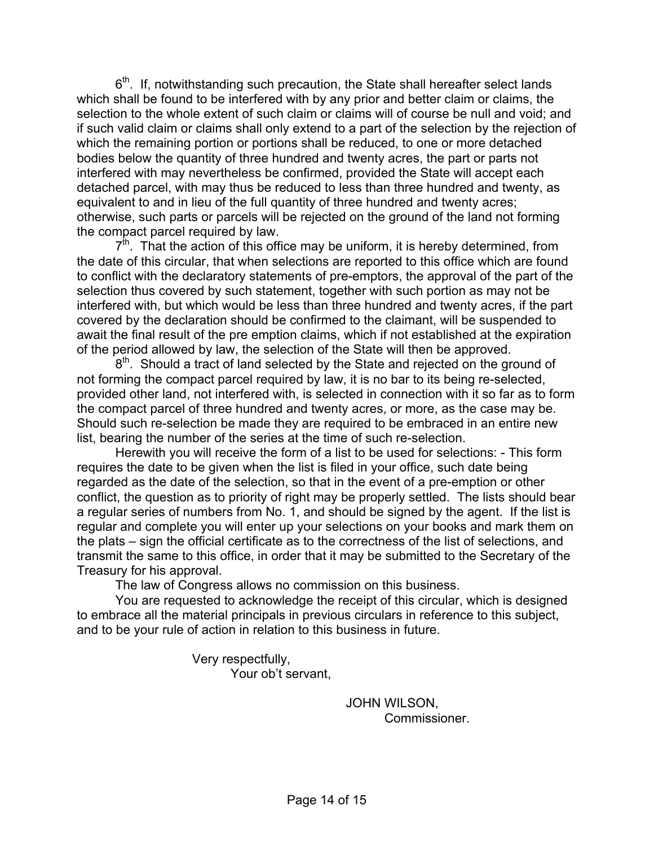$6<sup>th</sup>$ . If, notwithstanding such precaution, the State shall hereafter select lands which shall be found to be interfered with by any prior and better claim or claims, the selection to the whole extent of such claim or claims will of course be null and void; and if such valid claim or claims shall only extend to a part of the selection by the rejection of which the remaining portion or portions shall be reduced, to one or more detached bodies below the quantity of three hundred and twenty acres, the part or parts not interfered with may nevertheless be confirmed, provided the State will accept each detached parcel, with may thus be reduced to less than three hundred and twenty, as equivalent to and in lieu of the full quantity of three hundred and twenty acres; otherwise, such parts or parcels will be rejected on the ground of the land not forming the compact parcel required by law.

 $7<sup>th</sup>$ . That the action of this office may be uniform, it is hereby determined, from the date of this circular, that when selections are reported to this office which are found to conflict with the declaratory statements of pre-emptors, the approval of the part of the selection thus covered by such statement, together with such portion as may not be interfered with, but which would be less than three hundred and twenty acres, if the part covered by the declaration should be confirmed to the claimant, will be suspended to await the final result of the pre emption claims, which if not established at the expiration of the period allowed by law, the selection of the State will then be approved.

 $8<sup>th</sup>$ . Should a tract of land selected by the State and rejected on the ground of not forming the compact parcel required by law, it is no bar to its being re-selected, provided other land, not interfered with, is selected in connection with it so far as to form the compact parcel of three hundred and twenty acres, or more, as the case may be. Should such re-selection be made they are required to be embraced in an entire new list, bearing the number of the series at the time of such re-selection.

Herewith you will receive the form of a list to be used for selections: - This form requires the date to be given when the list is filed in your office, such date being regarded as the date of the selection, so that in the event of a pre-emption or other conflict, the question as to priority of right may be properly settled. The lists should bear a regular series of numbers from No. 1, and should be signed by the agent. If the list is regular and complete you will enter up your selections on your books and mark them on the plats – sign the official certificate as to the correctness of the list of selections, and transmit the same to this office, in order that it may be submitted to the Secretary of the Treasury for his approval.

The law of Congress allows no commission on this business.

You are requested to acknowledge the receipt of this circular, which is designed to embrace all the material principals in previous circulars in reference to this subject, and to be your rule of action in relation to this business in future.

> Very respectfully, Your ob't servant,

> > JOHN WILSON, Commissioner.